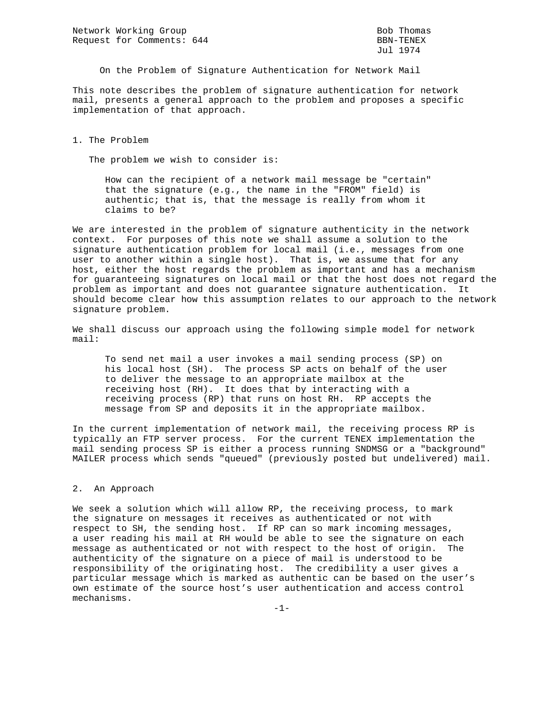Network Working Group Bob Thomas Bob Thomas Request for Comments: 644 BBN-TENEX

Jul 1974

On the Problem of Signature Authentication for Network Mail

This note describes the problem of signature authentication for network mail, presents a general approach to the problem and proposes a specific implementation of that approach.

1. The Problem

The problem we wish to consider is:

 How can the recipient of a network mail message be "certain" that the signature (e.g., the name in the "FROM" field) is authentic; that is, that the message is really from whom it claims to be?

We are interested in the problem of signature authenticity in the network context. For purposes of this note we shall assume a solution to the signature authentication problem for local mail (i.e., messages from one user to another within a single host). That is, we assume that for any host, either the host regards the problem as important and has a mechanism for guaranteeing signatures on local mail or that the host does not regard the problem as important and does not guarantee signature authentication. It should become clear how this assumption relates to our approach to the network signature problem.

We shall discuss our approach using the following simple model for network mail:

 To send net mail a user invokes a mail sending process (SP) on his local host (SH). The process SP acts on behalf of the user to deliver the message to an appropriate mailbox at the receiving host (RH). It does that by interacting with a receiving process (RP) that runs on host RH. RP accepts the message from SP and deposits it in the appropriate mailbox.

In the current implementation of network mail, the receiving process RP is typically an FTP server process. For the current TENEX implementation the mail sending process SP is either a process running SNDMSG or a "background" MAILER process which sends "queued" (previously posted but undelivered) mail.

## 2. An Approach

We seek a solution which will allow RP, the receiving process, to mark the signature on messages it receives as authenticated or not with respect to SH, the sending host. If RP can so mark incoming messages, a user reading his mail at RH would be able to see the signature on each message as authenticated or not with respect to the host of origin. The authenticity of the signature on a piece of mail is understood to be responsibility of the originating host. The credibility a user gives a particular message which is marked as authentic can be based on the user's own estimate of the source host's user authentication and access control mechanisms.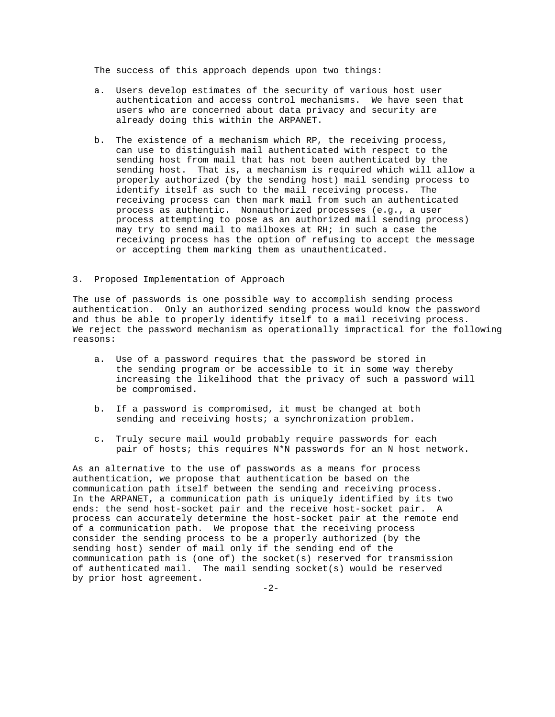The success of this approach depends upon two things:

- a. Users develop estimates of the security of various host user authentication and access control mechanisms. We have seen that users who are concerned about data privacy and security are already doing this within the ARPANET.
- b. The existence of a mechanism which RP, the receiving process, can use to distinguish mail authenticated with respect to the sending host from mail that has not been authenticated by the sending host. That is, a mechanism is required which will allow a properly authorized (by the sending host) mail sending process to identify itself as such to the mail receiving process. The receiving process can then mark mail from such an authenticated process as authentic. Nonauthorized processes (e.g., a user process attempting to pose as an authorized mail sending process) may try to send mail to mailboxes at RH; in such a case the receiving process has the option of refusing to accept the message or accepting them marking them as unauthenticated.

## 3. Proposed Implementation of Approach

The use of passwords is one possible way to accomplish sending process authentication. Only an authorized sending process would know the password and thus be able to properly identify itself to a mail receiving process. We reject the password mechanism as operationally impractical for the following reasons:

- a. Use of a password requires that the password be stored in the sending program or be accessible to it in some way thereby increasing the likelihood that the privacy of such a password will be compromised.
- b. If a password is compromised, it must be changed at both sending and receiving hosts; a synchronization problem.
- c. Truly secure mail would probably require passwords for each pair of hosts; this requires N\*N passwords for an N host network.

As an alternative to the use of passwords as a means for process authentication, we propose that authentication be based on the communication path itself between the sending and receiving process. In the ARPANET, a communication path is uniquely identified by its two ends: the send host-socket pair and the receive host-socket pair. A process can accurately determine the host-socket pair at the remote end of a communication path. We propose that the receiving process consider the sending process to be a properly authorized (by the sending host) sender of mail only if the sending end of the communication path is (one of) the socket(s) reserved for transmission of authenticated mail. The mail sending socket(s) would be reserved by prior host agreement.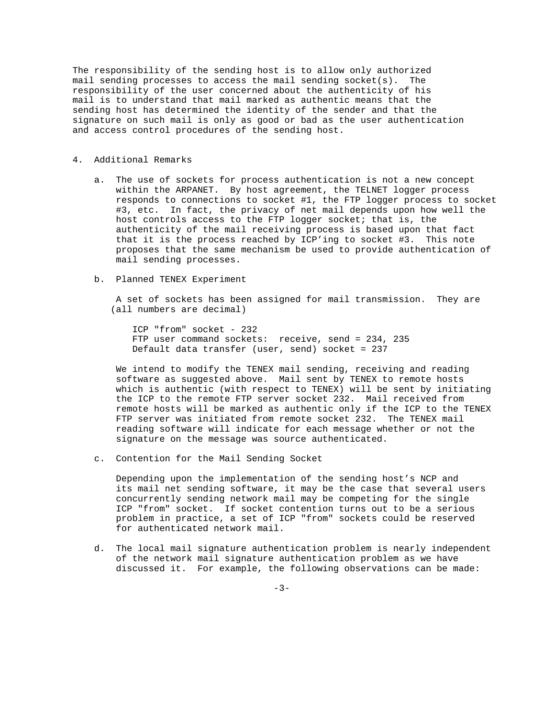The responsibility of the sending host is to allow only authorized mail sending processes to access the mail sending socket(s). The responsibility of the user concerned about the authenticity of his mail is to understand that mail marked as authentic means that the sending host has determined the identity of the sender and that the signature on such mail is only as good or bad as the user authentication and access control procedures of the sending host.

## 4. Additional Remarks

- a. The use of sockets for process authentication is not a new concept within the ARPANET. By host agreement, the TELNET logger process responds to connections to socket #1, the FTP logger process to socket #3, etc. In fact, the privacy of net mail depends upon how well the host controls access to the FTP logger socket; that is, the authenticity of the mail receiving process is based upon that fact that it is the process reached by ICP'ing to socket #3. This note proposes that the same mechanism be used to provide authentication of mail sending processes.
- b. Planned TENEX Experiment

 A set of sockets has been assigned for mail transmission. They are (all numbers are decimal)

 ICP "from" socket - 232 FTP user command sockets: receive, send = 234, 235 Default data transfer (user, send) socket = 237

 We intend to modify the TENEX mail sending, receiving and reading software as suggested above. Mail sent by TENEX to remote hosts which is authentic (with respect to TENEX) will be sent by initiating the ICP to the remote FTP server socket 232. Mail received from remote hosts will be marked as authentic only if the ICP to the TENEX FTP server was initiated from remote socket 232. The TENEX mail reading software will indicate for each message whether or not the signature on the message was source authenticated.

c. Contention for the Mail Sending Socket

 Depending upon the implementation of the sending host's NCP and its mail net sending software, it may be the case that several users concurrently sending network mail may be competing for the single ICP "from" socket. If socket contention turns out to be a serious problem in practice, a set of ICP "from" sockets could be reserved for authenticated network mail.

 d. The local mail signature authentication problem is nearly independent of the network mail signature authentication problem as we have discussed it. For example, the following observations can be made: